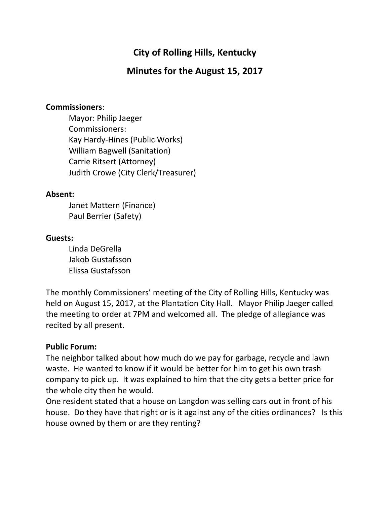# **City of Rolling Hills, Kentucky**

## **Minutes for the August 15, 2017**

#### **Commissioners**:

Mayor: Philip Jaeger Commissioners: Kay Hardy-Hines (Public Works) William Bagwell (Sanitation) Carrie Ritsert (Attorney) Judith Crowe (City Clerk/Treasurer)

#### **Absent:**

Janet Mattern (Finance) Paul Berrier (Safety)

#### **Guests:**

Linda DeGrella Jakob Gustafsson Elissa Gustafsson

The monthly Commissioners' meeting of the City of Rolling Hills, Kentucky was held on August 15, 2017, at the Plantation City Hall. Mayor Philip Jaeger called the meeting to order at 7PM and welcomed all. The pledge of allegiance was recited by all present.

#### **Public Forum:**

The neighbor talked about how much do we pay for garbage, recycle and lawn waste. He wanted to know if it would be better for him to get his own trash company to pick up. It was explained to him that the city gets a better price for the whole city then he would.

One resident stated that a house on Langdon was selling cars out in front of his house. Do they have that right or is it against any of the cities ordinances? Is this house owned by them or are they renting?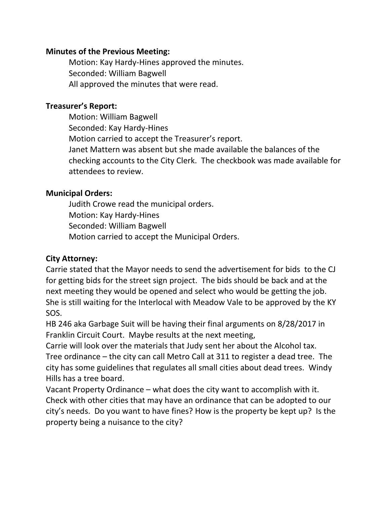#### **Minutes of the Previous Meeting:**

Motion: Kay Hardy-Hines approved the minutes. Seconded: William Bagwell All approved the minutes that were read.

#### **Treasurer's Report:**

Motion: William Bagwell Seconded: Kay Hardy-Hines Motion carried to accept the Treasurer's report. Janet Mattern was absent but she made available the balances of the checking accounts to the City Clerk. The checkbook was made available for attendees to review.

#### **Municipal Orders:**

Judith Crowe read the municipal orders. Motion: Kay Hardy-Hines Seconded: William Bagwell Motion carried to accept the Municipal Orders.

## **City Attorney:**

Carrie stated that the Mayor needs to send the advertisement for bids to the CJ for getting bids for the street sign project. The bids should be back and at the next meeting they would be opened and select who would be getting the job. She is still waiting for the Interlocal with Meadow Vale to be approved by the KY SOS.

HB 246 aka Garbage Suit will be having their final arguments on 8/28/2017 in Franklin Circuit Court. Maybe results at the next meeting,

Carrie will look over the materials that Judy sent her about the Alcohol tax. Tree ordinance – the city can call Metro Call at 311 to register a dead tree. The city has some guidelines that regulates all small cities about dead trees. Windy Hills has a tree board.

Vacant Property Ordinance – what does the city want to accomplish with it. Check with other cities that may have an ordinance that can be adopted to our city's needs. Do you want to have fines? How is the property be kept up? Is the property being a nuisance to the city?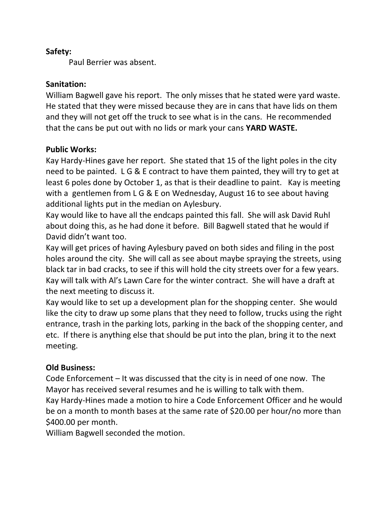#### **Safety:**

Paul Berrier was absent.

### **Sanitation:**

William Bagwell gave his report. The only misses that he stated were yard waste. He stated that they were missed because they are in cans that have lids on them and they will not get off the truck to see what is in the cans. He recommended that the cans be put out with no lids or mark your cans **YARD WASTE.**

## **Public Works:**

Kay Hardy-Hines gave her report. She stated that 15 of the light poles in the city need to be painted. L G & E contract to have them painted, they will try to get at least 6 poles done by October 1, as that is their deadline to paint. Kay is meeting with a gentlemen from L G & E on Wednesday, August 16 to see about having additional lights put in the median on Aylesbury.

Kay would like to have all the endcaps painted this fall. She will ask David Ruhl about doing this, as he had done it before. Bill Bagwell stated that he would if David didn't want too.

Kay will get prices of having Aylesbury paved on both sides and filing in the post holes around the city. She will call as see about maybe spraying the streets, using black tar in bad cracks, to see if this will hold the city streets over for a few years. Kay will talk with Al's Lawn Care for the winter contract. She will have a draft at the next meeting to discuss it.

Kay would like to set up a development plan for the shopping center. She would like the city to draw up some plans that they need to follow, trucks using the right entrance, trash in the parking lots, parking in the back of the shopping center, and etc. If there is anything else that should be put into the plan, bring it to the next meeting.

## **Old Business:**

Code Enforcement – It was discussed that the city is in need of one now. The Mayor has received several resumes and he is willing to talk with them.

Kay Hardy-Hines made a motion to hire a Code Enforcement Officer and he would be on a month to month bases at the same rate of \$20.00 per hour/no more than \$400.00 per month.

William Bagwell seconded the motion.